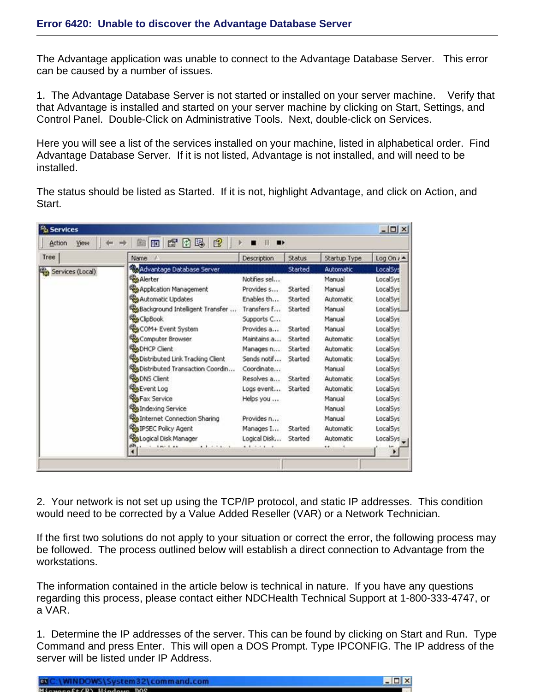The Advantage application was unable to connect to the Advantage Database Server. This error can be caused by a number of issues.

1. The Advantage Database Server is not started or installed on your server machine. Verify that that Advantage is installed and started on your server machine by clicking on Start, Settings, and Control Panel. Double-Click on Administrative Tools. Next, double-click on Services.

Here you will see a list of the services installed on your machine, listed in alphabetical order. Find Advantage Database Server. If it is not listed, Advantage is not installed, and will need to be installed.

The status should be listed as Started. If it is not, highlight Advantage, and click on Action, and Start.

| Tree                   | Name                                   | Description  | <b>Status</b> | Startup Type | Log On $i -$ |
|------------------------|----------------------------------------|--------------|---------------|--------------|--------------|
| ۴ŵ<br>Services (Local) | Advantage Database Server              |              | Started       | Automatic    | LocalSys     |
|                        | Alerter                                | Notifies sel |               | Manual       | LocalSys     |
|                        | Application Management                 | Provides s   | Started       | Manual       | LocalSys     |
|                        | Automatic Updates                      | Enables th   | Started       | Automatic.   | LocalSys     |
|                        | Background Intelligent Transfer        | Transfers f  | Started       | Manual       | LocalSys.    |
|                        | ClipBook                               | Supports C   |               | Manual       | LocalSys     |
|                        | COM+ Event System                      | Provides a   | Started       | Manual       | LocalSys     |
|                        | Computer Browser                       | Maintains a  | Started       | Automatic    | LocalSys     |
|                        | DHCP Client                            | Manages n    | Started       | Automatic    | LocalSys     |
|                        | Distributed Link Tracking Client       | Sends notif  | Started       | Automatic    | LocalSys     |
|                        | Distributed Transaction Coordin        | Coordinate   |               | Manual       | LocalSys     |
|                        | DNS Client                             | Resolves a   | Started       | Automatic    | LocalSys     |
|                        | Event Log                              | Logs event   | Started       | Automatic    | LocalSys     |
|                        | <b>Ro</b> Fax Service                  | Helps you    |               | Manual       | LocalSys     |
|                        | Indexing Service                       |              |               | Manual       | LocalSys     |
|                        | <b>Roa</b> Internet Connection Sharing | Provides n   |               | Manual       | LocalSys     |
|                        | IPSEC Policy Agent                     | Manages I    | Started       | Automatic    | LocalSys     |
|                        | <b>Real Logical Disk Manager</b>       | Logical Disk | Started       | Automatic    | LocalSys     |
|                        | 1.1.1.1<br>$1 - 1 + 1 + 1 + 1$         | 8.8.8.1.1    |               | ÷.           |              |

2. Your network is not set up using the TCP/IP protocol, and static IP addresses. This condition would need to be corrected by a Value Added Reseller (VAR) or a Network Technician.

If the first two solutions do not apply to your situation or correct the error, the following process may be followed. The process outlined below will establish a direct connection to Advantage from the workstations.

The information contained in the article below is technical in nature. If you have any questions regarding this process, please contact either NDCHealth Technical Support at 1-800-333-4747, or a VAR.

1. Determine the IP addresses of the server. This can be found by clicking on Start and Run. Type Command and press Enter. This will open a DOS Prompt. Type IPCONFIG. The IP address of the server will be listed under IP Address.

| C:\WINDOWS\System32\command.com     | $\Box$ Dixi |
|-------------------------------------|-------------|
| MERCHANGE CAVIDAMILE MAIN HAVE BOOK |             |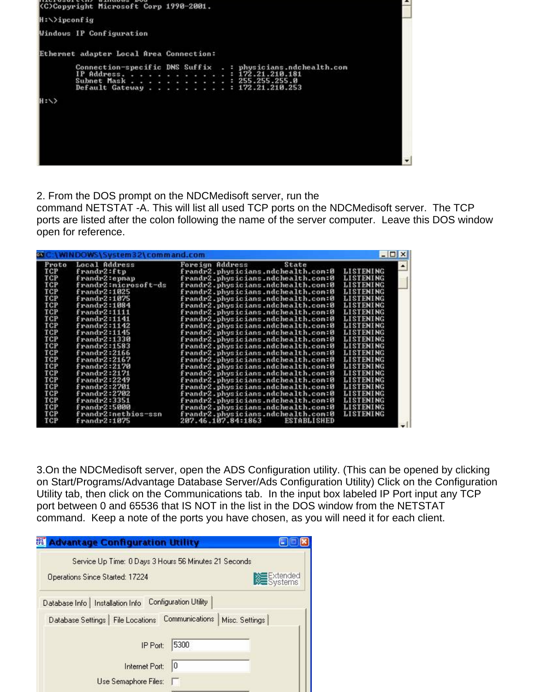

2. From the DOS prompt on the NDCMedisoft server, run the

command NETSTAT -A. This will list all used TCP ports on the NDCMedisoft server. The TCP ports are listed after the colon following the name of the server computer. Leave this DOS window open for reference.

| Proto | Local Address        | Foreign Address<br>State                 |                  |
|-------|----------------------|------------------------------------------|------------------|
| TCP   | frandr2:ftp          | frandr2.physicians.ndchealth.com:0       | <b>LISTENING</b> |
| TCP   | frandr2:eppap        | frandr2.physicians.ndchealth.com:0       | <b>LISTENING</b> |
| TCP   | frandr2:nicrosoft-ds | frandr2.physicians.ndchealth.com:0       | LISTENING        |
| TCP   | frandr2:1025         | frandr2.physicians.ndchealth.com:0       | LISTENING        |
| TCP   | frandr2:1075         | frandr2.physicians.ndchealth.com:0       | LISTENING        |
| TCP   | frandra:1084         | frandr2.physicians.ndchealth.com:0       | LISTENING        |
| TCP   | frandr2:1111         | frandr2.physicians.ndchealth.com:0       | <b>LISTENING</b> |
| TCP   | frandra:1141         | frandr2.physicians.ndchealth.com:0       | LISTENING        |
| TCP   | frandra:1142         | frandr2.physicians.ndchealth.com:0       | LISTENING        |
| TCP   | frandra:1145         | frandr2.physicians.ndchealth.com:0       | <b>LISTENING</b> |
| TCP   | frandra:1330         | frandr2.physicians.ndchealth.com:0       | <b>LISTENING</b> |
| TCP   | frandr2:1583         | frandr2.physicians.ndchealth.com:0       | <b>LISTENING</b> |
| TCP   | frandr2:2166         | frandr2.physicians.ndchealth.com:0       | LISTENING        |
| TCP   | frandr2:2167         | frandr2.physicians.ndchealth.com:0       | LISTENING        |
| TCP   | frandr2:2170         | frandr2.physicians.ndchealth.com:0       | <b>LISTENING</b> |
| TCP   | frandr2:2171         | frandr2.physicians.ndchealth.com:0       | LISTENING        |
| TCP   | frandr2:2249         | frandr2.physicians.ndchealth.com:0       | <b>LISTENING</b> |
| TCP   | frandr2:2701         | frandr2.physicians.ndchealth.com:0       | LISTENING        |
| TCP   | frandr2:2702         | frandr2.physicians.ndchealth.com:0       | <b>LISTENING</b> |
| TCP   | frandra:3351         | frandr2.physicians.ndchealth.com:0       | LISTENING        |
| TCP   | frandr2:5000         | frandr2.physicians.ndchealth.com:0       | <b>LISTENING</b> |
| TCP   | frandr2:netbios-ssn  | frandr2.physicians.ndchealth.com:0       | LISTENING        |
| TCP   | frandr2:1075         | 207.46.107.84:1863<br><b>ESTABLISHED</b> |                  |

3.On the NDCMedisoft server, open the ADS Configuration utility. (This can be opened by clicking on Start/Programs/Advantage Database Server/Ads Configuration Utility) Click on the Configuration Utility tab, then click on the Communications tab. In the input box labeled IP Port input any TCP port between 0 and 65536 that IS NOT in the list in the DOS window from the NETSTAT command. Keep a note of the ports you have chosen, as you will need it for each client.

| 龗<br><b>Advantage Configuration Utility</b>           |                              |                                   |
|-------------------------------------------------------|------------------------------|-----------------------------------|
| Service Up Time: 0 Days 3 Hours 56 Minutes 21 Seconds |                              |                                   |
| Operations Since Started: 17224                       |                              | <b>Extended</b><br><b>Systems</b> |
| Database Info   Installation Info                     | <b>Configuration Utility</b> |                                   |
| Database Settings   File Locations                    | Communications               | Misc. Settings                    |
| IP Port:                                              | 5300                         |                                   |
| Internet Port:                                        | 10                           |                                   |
| Use Semaphore Files:                                  |                              |                                   |